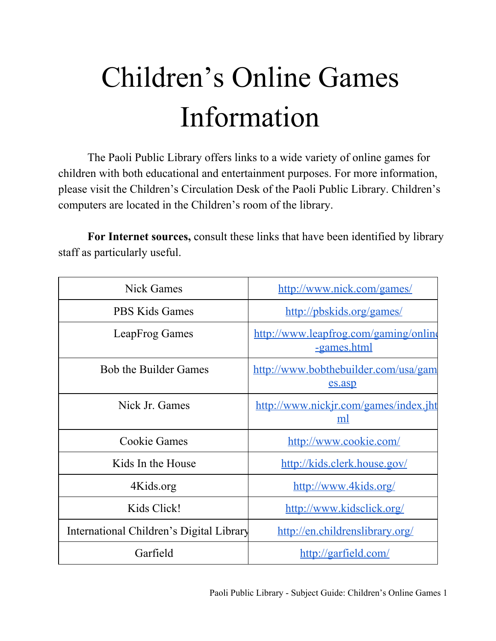## Children's Online Games Information

The Paoli Public Library offers links to a wide variety of online games for children with both educational and entertainment purposes. For more information, please visit the Children's Circulation Desk of the Paoli Public Library. Children's computers are located in the Children's room of the library.

**For Internet sources,** consult these links that have been identified by library staff as particularly useful.

| <b>Nick Games</b>                        | http://www.nick.com/games/                           |
|------------------------------------------|------------------------------------------------------|
| <b>PBS Kids Games</b>                    | http://pbskids.org/games/                            |
| LeapFrog Games                           | http://www.leapfrog.com/gaming/online<br>-games.html |
| <b>Bob the Builder Games</b>             | http://www.bobthebuilder.com/usa/gam<br>es.asp       |
| Nick Jr. Games                           | http://www.nickjr.com/games/index.jht<br>ml          |
| <b>Cookie Games</b>                      | http://www.cookie.com/                               |
| Kids In the House                        | http://kids.clerk.house.gov/                         |
| 4Kids.org                                | http://www.4kids.org/                                |
| Kids Click!                              | http://www.kidsclick.org/                            |
| International Children's Digital Library | http://en.childrenslibrary.org/                      |
| Garfield                                 | http://garfield.com/                                 |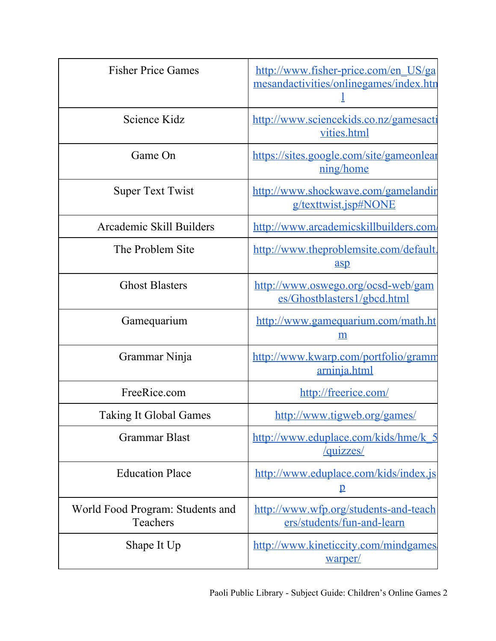| <b>Fisher Price Games</b>                    | http://www.fisher-price.com/en_US/ga<br>mesandactivities/onlinegames/index.htn |
|----------------------------------------------|--------------------------------------------------------------------------------|
| Science Kidz                                 | http://www.sciencekids.co.nz/gamesacti<br>vities.html                          |
| Game On                                      | https://sites.google.com/site/gameonlear<br>ning/home                          |
| <b>Super Text Twist</b>                      | http://www.shockwave.com/gamelandin<br>g/texttwist.jsp#NONE                    |
| Arcademic Skill Builders                     | http://www.arcademicskillbuilders.com                                          |
| The Problem Site                             | http://www.theproblemsite.com/default.<br>asp                                  |
| <b>Ghost Blasters</b>                        | http://www.oswego.org/ocsd-web/gam<br>es/Ghostblasters1/gbcd.html              |
| Gamequarium                                  | http://www.gamequarium.com/math.ht<br>m                                        |
| Grammar Ninja                                | http://www.kwarp.com/portfolio/gramm<br><u>arninja.html</u>                    |
| FreeRice.com                                 | http://freerice.com/                                                           |
| <b>Taking It Global Games</b>                | http://www.tigweb.org/games/                                                   |
| <b>Grammar Blast</b>                         | http://www.eduplace.com/kids/hme/k 5<br>/quizzes/                              |
| <b>Education Place</b>                       | http://www.eduplace.com/kids/index.js<br>$\mathbf{p}$                          |
| World Food Program: Students and<br>Teachers | http://www.wfp.org/students-and-teach<br>ers/students/fun-and-learn            |
| Shape It Up                                  | http://www.kineticcity.com/mindgames.<br>warper/                               |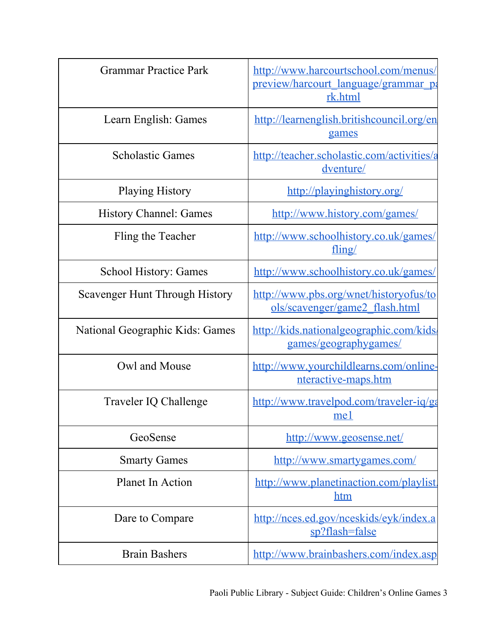| <b>Grammar Practice Park</b>    | http://www.harcourtschool.com/menus/<br>preview/harcourt language/grammar pa<br>rk.html |
|---------------------------------|-----------------------------------------------------------------------------------------|
| Learn English: Games            | http://learnenglish.britishcouncil.org/en<br>games                                      |
| <b>Scholastic Games</b>         | http://teacher.scholastic.com/activities/a<br>dventure/                                 |
| <b>Playing History</b>          | http://playinghistory.org/                                                              |
| <b>History Channel: Games</b>   | http://www.history.com/games/                                                           |
| Fling the Teacher               | http://www.schoolhistory.co.uk/games/<br>fling/                                         |
| <b>School History: Games</b>    | http://www.schoolhistory.co.uk/games/                                                   |
| Scavenger Hunt Through History  | http://www.pbs.org/wnet/historyofus/to<br>ols/scavenger/game2 flash.html                |
| National Geographic Kids: Games | http://kids.nationalgeographic.com/kids/<br>games/geographygames/                       |
| Owl and Mouse                   | http://www.yourchildlearns.com/online-<br>nteractive-maps.htm                           |
| Traveler IQ Challenge           | http://www.travelpod.com/traveler-iq/ga<br>me1                                          |
| GeoSense                        | http://www.geosense.net/                                                                |
| <b>Smarty Games</b>             | http://www.smartygames.com/                                                             |
| <b>Planet In Action</b>         | http://www.planetinaction.com/playlist.<br><u>htm</u>                                   |
| Dare to Compare                 | http://nces.ed.gov/nceskids/eyk/index.a<br>sp?flash=false                               |
| <b>Brain Bashers</b>            | http://www.brainbashers.com/index.asp                                                   |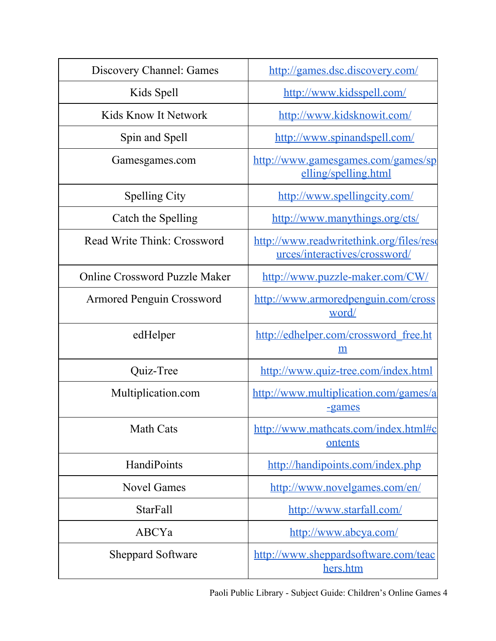| Discovery Channel: Games             | http://games.dsc.discovery.com/                                           |
|--------------------------------------|---------------------------------------------------------------------------|
| Kids Spell                           | http://www.kidsspell.com/                                                 |
| Kids Know It Network                 | http://www.kidsknowit.com/                                                |
| Spin and Spell                       | http://www.spinandspell.com/                                              |
| Gamesgames.com                       | http://www.gamesgames.com/games/sp<br>elling/spelling.html                |
| <b>Spelling City</b>                 | http://www.spellingcity.com/                                              |
| Catch the Spelling                   | http://www.manythings.org/cts/                                            |
| Read Write Think: Crossword          | http://www.readwritethink.org/files/reso<br>urces/interactives/crossword/ |
| <b>Online Crossword Puzzle Maker</b> | http://www.puzzle-maker.com/CW/                                           |
| <b>Armored Penguin Crossword</b>     | http://www.armoredpenguin.com/cross<br>word/                              |
| edHelper                             | http://edhelper.com/crossword_free.ht<br>m                                |
| Quiz-Tree                            | http://www.quiz-tree.com/index.html                                       |
| Multiplication.com                   | http://www.multiplication.com/games/a<br><u>-games</u>                    |
| <b>Math Cats</b>                     | http://www.mathcats.com/index.html#c<br>ontents                           |
| HandiPoints                          | http://handipoints.com/index.php                                          |
| <b>Novel Games</b>                   | http://www.novelgames.com/en/                                             |
| <b>StarFall</b>                      | http://www.starfall.com/                                                  |
| ABCYa                                | http://www.abcya.com/                                                     |
| <b>Sheppard Software</b>             | http://www.sheppardsoftware.com/teac<br>hers.htm                          |

Paoli Public Library - Subject Guide: Children's Online Games 4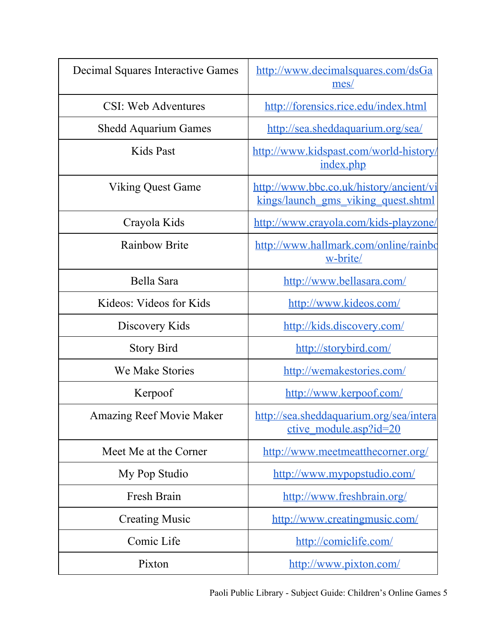| Decimal Squares Interactive Games | http://www.decimalsquares.com/dsGa<br>mes/                                     |
|-----------------------------------|--------------------------------------------------------------------------------|
| CSI: Web Adventures               | http://forensics.rice.edu/index.html                                           |
| <b>Shedd Aquarium Games</b>       | http://sea.sheddaquarium.org/sea/                                              |
| Kids Past                         | http://www.kidspast.com/world-history/<br>index.php                            |
| <b>Viking Quest Game</b>          | http://www.bbc.co.uk/history/ancient/vi<br>kings/launch gms viking quest.shtml |
| Crayola Kids                      | http://www.crayola.com/kids-playzone/                                          |
| <b>Rainbow Brite</b>              | http://www.hallmark.com/online/rainbo<br>w-brite/                              |
| Bella Sara                        | http://www.bellasara.com/                                                      |
| Kideos: Videos for Kids           | http://www.kideos.com/                                                         |
| Discovery Kids                    | http://kids.discovery.com/                                                     |
| <b>Story Bird</b>                 | http://storybird.com/                                                          |
| We Make Stories                   | http://wemakestories.com/                                                      |
| Kerpoof                           | http://www.kerpoof.com/                                                        |
| <b>Amazing Reef Movie Maker</b>   | http://sea.sheddaquarium.org/sea/intera<br>ctive_module.asp?id=20              |
| Meet Me at the Corner             | http://www.meetmeatthecorner.org/                                              |
| My Pop Studio                     | http://www.mypopstudio.com/                                                    |
| Fresh Brain                       | http://www.freshbrain.org/                                                     |
| <b>Creating Music</b>             | http://www.creatingmusic.com/                                                  |
| Comic Life                        | http://comiclife.com/                                                          |
| Pixton                            | http://www.pixton.com/                                                         |

Paoli Public Library - Subject Guide: Children's Online Games 5